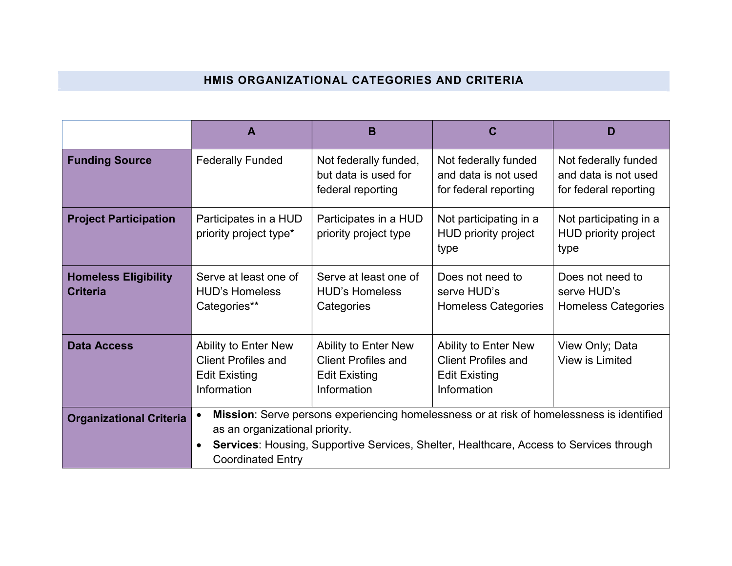## HMIS ORGANIZATIONAL CATEGORIES AND CRITERIA

|                                                | Α                                                                                         | B                                                                                                                                                                                           |                                                                                    | D                                                                     |
|------------------------------------------------|-------------------------------------------------------------------------------------------|---------------------------------------------------------------------------------------------------------------------------------------------------------------------------------------------|------------------------------------------------------------------------------------|-----------------------------------------------------------------------|
| <b>Funding Source</b>                          | <b>Federally Funded</b>                                                                   | Not federally funded,<br>but data is used for<br>federal reporting                                                                                                                          | Not federally funded<br>and data is not used<br>for federal reporting              | Not federally funded<br>and data is not used<br>for federal reporting |
| <b>Project Participation</b>                   | Participates in a HUD<br>priority project type*                                           | Participates in a HUD<br>priority project type                                                                                                                                              | Not participating in a<br>HUD priority project<br>type                             | Not participating in a<br>HUD priority project<br>type                |
| <b>Homeless Eligibility</b><br><b>Criteria</b> | Serve at least one of<br><b>HUD's Homeless</b><br>Categories**                            | Serve at least one of<br><b>HUD's Homeless</b><br>Categories                                                                                                                                | Does not need to<br>serve HUD's<br><b>Homeless Categories</b>                      | Does not need to<br>serve HUD's<br><b>Homeless Categories</b>         |
| <b>Data Access</b>                             | Ability to Enter New<br><b>Client Profiles and</b><br><b>Edit Existing</b><br>Information | Ability to Enter New<br><b>Client Profiles and</b><br><b>Edit Existing</b><br>Information                                                                                                   | Ability to Enter New<br>Client Profiles and<br><b>Edit Existing</b><br>Information | View Only; Data<br>View is Limited                                    |
| <b>Organizational Criteria</b>                 | as an organizational priority.<br><b>Coordinated Entry</b>                                | Mission: Serve persons experiencing homelessness or at risk of homelessness is identified<br><b>Services:</b> Housing, Supportive Services, Shelter, Healthcare, Access to Services through |                                                                                    |                                                                       |